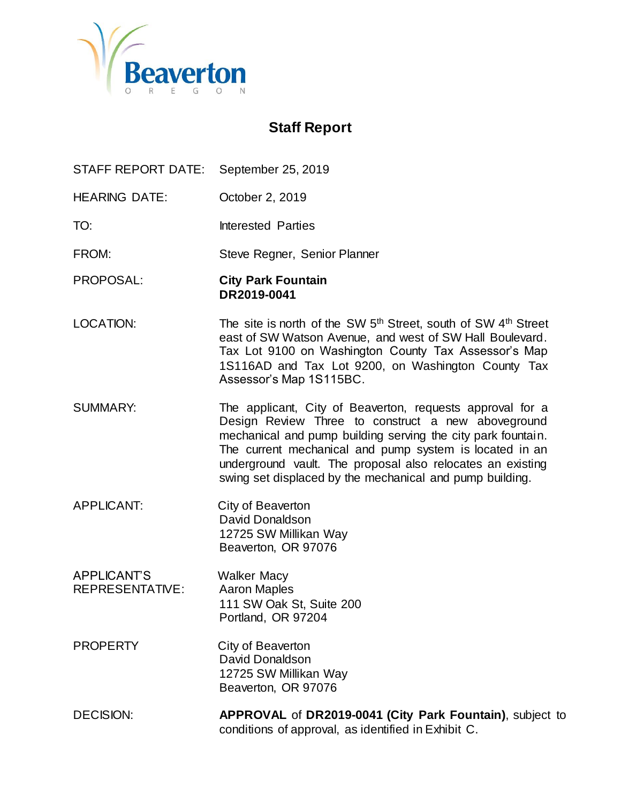

# **Staff Report**

- STAFF REPORT DATE: September 25, 2019
- HEARING DATE: October 2, 2019
- TO: Interested Parties
- FROM: Steve Regner, Senior Planner
- PROPOSAL: **City Park Fountain DR2019-0041**
- LOCATION: The site is north of the SW  $5<sup>th</sup>$  Street, south of SW  $4<sup>th</sup>$  Street east of SW Watson Avenue, and west of SW Hall Boulevard. Tax Lot 9100 on Washington County Tax Assessor's Map 1S116AD and Tax Lot 9200, on Washington County Tax Assessor's Map 1S115BC.
- SUMMARY: The applicant, City of Beaverton, requests approval for a Design Review Three to construct a new aboveground mechanical and pump building serving the city park fountain. The current mechanical and pump system is located in an underground vault. The proposal also relocates an existing swing set displaced by the mechanical and pump building.
- APPLICANT: City of Beaverton David Donaldson 12725 SW Millikan Way Beaverton, OR 97076
- APPLICANT'S Walker Macy REPRESENTATIVE: Aaron Maples 111 SW Oak St, Suite 200 Portland, OR 97204
- PROPERTY City of Beaverton David Donaldson 12725 SW Millikan Way Beaverton, OR 97076
- DECISION: **APPROVAL** of **DR2019-0041 (City Park Fountain)**, subject to conditions of approval, as identified in Exhibit C.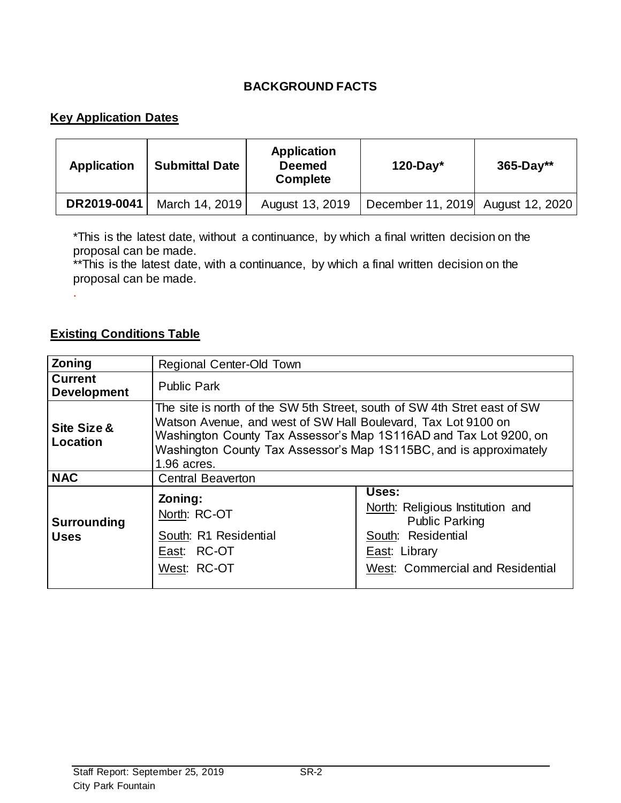# **BACKGROUND FACTS**

# **Key Application Dates**

| <b>Application</b> | <b>Submittal Date</b> | <b>Application</b><br><b>Deemed</b><br><b>Complete</b> | $120$ -Day*                       | $365 - Day**$ |
|--------------------|-----------------------|--------------------------------------------------------|-----------------------------------|---------------|
| DR2019-0041        | March 14, 2019        | August 13, 2019                                        | December 11, 2019 August 12, 2020 |               |

\*This is the latest date, without a continuance, by which a final written decision on the proposal can be made.

\*\*This is the latest date, with a continuance, by which a final written decision on the proposal can be made.

# **Existing Conditions Table**

.

| Zoning                               | Regional Center-Old Town                                                                                                                                                                                                                                                                            |                                                                                                                                               |  |
|--------------------------------------|-----------------------------------------------------------------------------------------------------------------------------------------------------------------------------------------------------------------------------------------------------------------------------------------------------|-----------------------------------------------------------------------------------------------------------------------------------------------|--|
| <b>Current</b><br><b>Development</b> | <b>Public Park</b>                                                                                                                                                                                                                                                                                  |                                                                                                                                               |  |
| Site Size &<br>Location              | The site is north of the SW 5th Street, south of SW 4th Stret east of SW<br>Watson Avenue, and west of SW Hall Boulevard, Tax Lot 9100 on<br>Washington County Tax Assessor's Map 1S116AD and Tax Lot 9200, on<br>Washington County Tax Assessor's Map 1S115BC, and is approximately<br>1.96 acres. |                                                                                                                                               |  |
| <b>NAC</b>                           | <b>Central Beaverton</b>                                                                                                                                                                                                                                                                            |                                                                                                                                               |  |
| <b>Surrounding</b><br><b>Uses</b>    | Zoning:<br>North: RC-OT<br>South: R1 Residential<br>East: RC-OT<br>West: RC-OT                                                                                                                                                                                                                      | Uses:<br>North: Religious Institution and<br><b>Public Parking</b><br>South: Residential<br>East: Library<br>West: Commercial and Residential |  |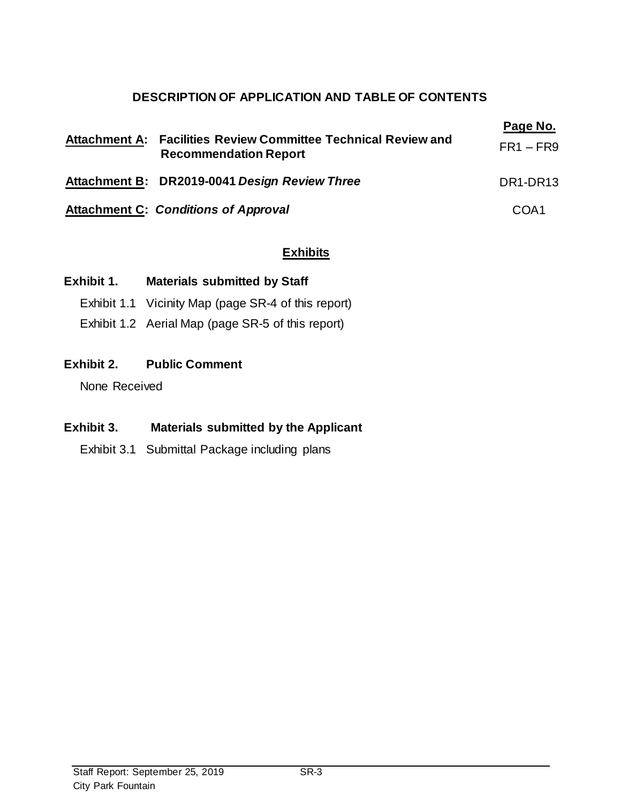# **DESCRIPTION OF APPLICATION AND TABLE OF CONTENTS**

| Attachment A: Facilities Review Committee Technical Review and<br><b>Recommendation Report</b> | Page No.<br>$FR1 - FR9$           |
|------------------------------------------------------------------------------------------------|-----------------------------------|
| Attachment B: DR2019-0041 Design Review Three                                                  | DR <sub>1</sub> -DR <sub>13</sub> |
| <b>Attachment C: Conditions of Approval</b>                                                    | COA1                              |

# **Exhibits**

# **Exhibit 1. Materials submitted by Staff**

- Exhibit 1.1 Vicinity Map (page SR-4 of this report)
- Exhibit 1.2 Aerial Map (page SR-5 of this report)

# **Exhibit 2. Public Comment**

None Received

# **Exhibit 3. Materials submitted by the Applicant**

Exhibit 3.1 Submittal Package including plans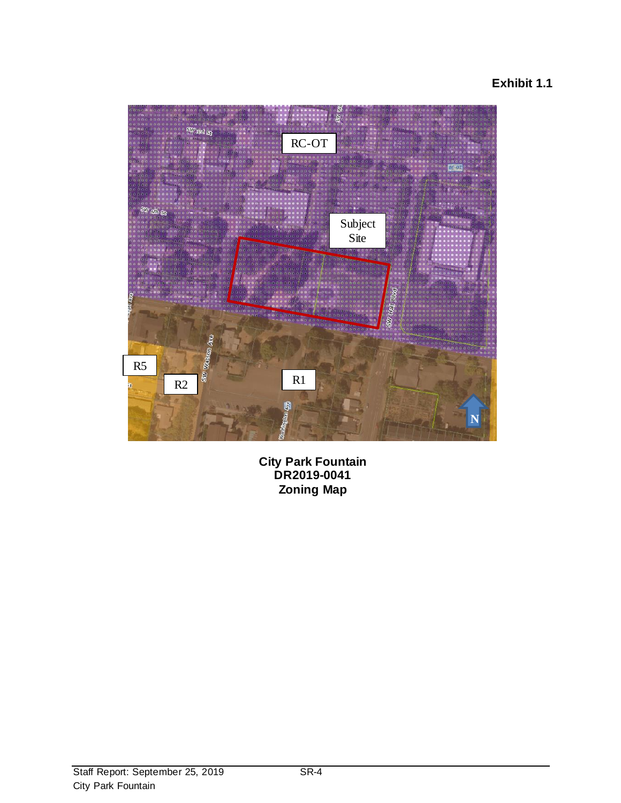# **Exhibit 1.1**



**City Park Fountain DR2019-0041 Zoning Map**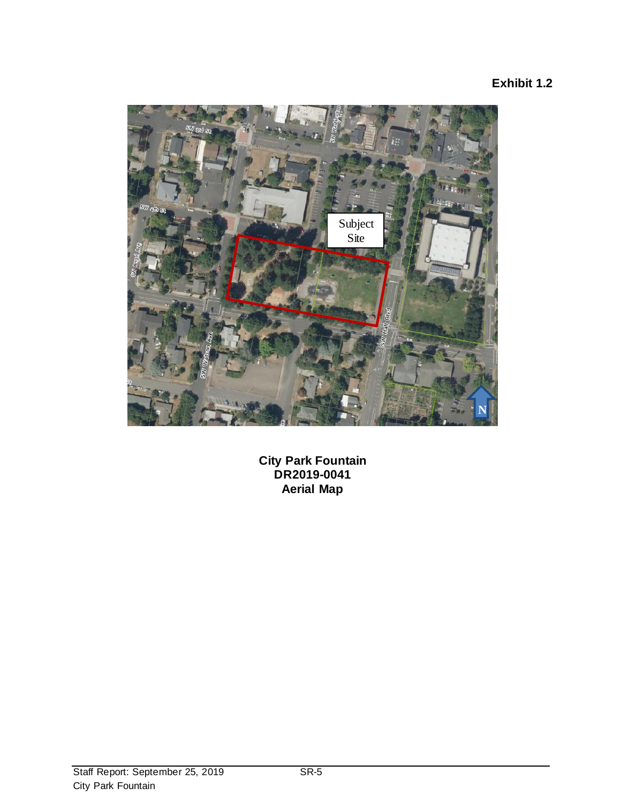# **Exhibit 1.2**



**City Park Fountain DR2019-0041 Aerial Map**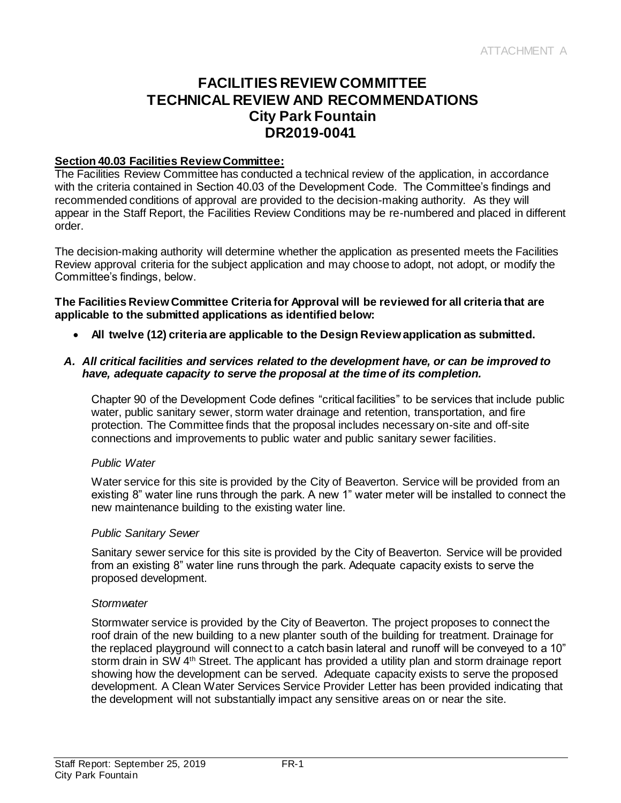# **FACILITIES REVIEW COMMITTEE TECHNICAL REVIEW AND RECOMMENDATIONS City Park Fountain DR2019-0041**

#### **Section 40.03 Facilities Review Committee:**

The Facilities Review Committee has conducted a technical review of the application, in accordance with the criteria contained in Section 40.03 of the Development Code. The Committee's findings and recommended conditions of approval are provided to the decision-making authority. As they will appear in the Staff Report, the Facilities Review Conditions may be re-numbered and placed in different order.

The decision-making authority will determine whether the application as presented meets the Facilities Review approval criteria for the subject application and may choose to adopt, not adopt, or modify the Committee's findings, below.

#### **The Facilities Review Committee Criteria for Approval will be reviewed for all criteria that are applicable to the submitted applications as identified below:**

**All twelve (12) criteria are applicable to the Design Review application as submitted.**

#### *A. All critical facilities and services related to the development have, or can be improved to have, adequate capacity to serve the proposal at the time of its completion.*

Chapter 90 of the Development Code defines "critical facilities" to be services that include public water, public sanitary sewer, storm water drainage and retention, transportation, and fire protection. The Committee finds that the proposal includes necessary on-site and off-site connections and improvements to public water and public sanitary sewer facilities.

#### *Public Water*

Water service for this site is provided by the City of Beaverton. Service will be provided from an existing 8" water line runs through the park. A new 1" water meter will be installed to connect the new maintenance building to the existing water line.

#### *Public Sanitary Sewer*

Sanitary sewer service for this site is provided by the City of Beaverton. Service will be provided from an existing 8" water line runs through the park. Adequate capacity exists to serve the proposed development.

#### *Stormwater*

Stormwater service is provided by the City of Beaverton. The project proposes to connect the roof drain of the new building to a new planter south of the building for treatment. Drainage for the replaced playground will connect to a catch basin lateral and runoff will be conveyed to a 10" storm drain in SW 4<sup>th</sup> Street. The applicant has provided a utility plan and storm drainage report showing how the development can be served. Adequate capacity exists to serve the proposed development. A Clean Water Services Service Provider Letter has been provided indicating that the development will not substantially impact any sensitive areas on or near the site.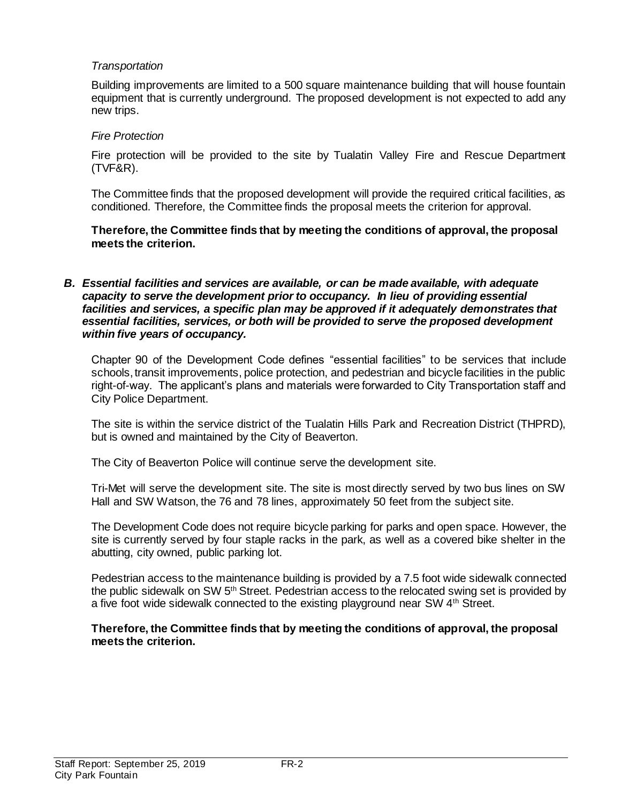#### *Transportation*

Building improvements are limited to a 500 square maintenance building that will house fountain equipment that is currently underground. The proposed development is not expected to add any new trips.

#### *Fire Protection*

Fire protection will be provided to the site by Tualatin Valley Fire and Rescue Department (TVF&R).

The Committee finds that the proposed development will provide the required critical facilities, as conditioned. Therefore, the Committee finds the proposal meets the criterion for approval.

**Therefore, the Committee finds that by meeting the conditions of approval, the proposal meets the criterion.** 

*B. Essential facilities and services are available, or can be made available, with adequate capacity to serve the development prior to occupancy. In lieu of providing essential*  facilities and services, a specific plan may be approved if it adequately demonstrates that *essential facilities, services, or both will be provided to serve the proposed development within five years of occupancy.*

Chapter 90 of the Development Code defines "essential facilities" to be services that include schools, transit improvements, police protection, and pedestrian and bicycle facilities in the public right-of-way. The applicant's plans and materials were forwarded to City Transportation staff and City Police Department.

The site is within the service district of the Tualatin Hills Park and Recreation District (THPRD), but is owned and maintained by the City of Beaverton.

The City of Beaverton Police will continue serve the development site.

Tri-Met will serve the development site. The site is most directly served by two bus lines on SW Hall and SW Watson, the 76 and 78 lines, approximately 50 feet from the subject site.

The Development Code does not require bicycle parking for parks and open space. However, the site is currently served by four staple racks in the park, as well as a covered bike shelter in the abutting, city owned, public parking lot.

Pedestrian access to the maintenance building is provided by a 7.5 foot wide sidewalk connected the public sidewalk on SW 5<sup>th</sup> Street. Pedestrian access to the relocated swing set is provided by a five foot wide sidewalk connected to the existing playground near SW 4<sup>th</sup> Street.

**Therefore, the Committee finds that by meeting the conditions of approval, the proposal meets the criterion.**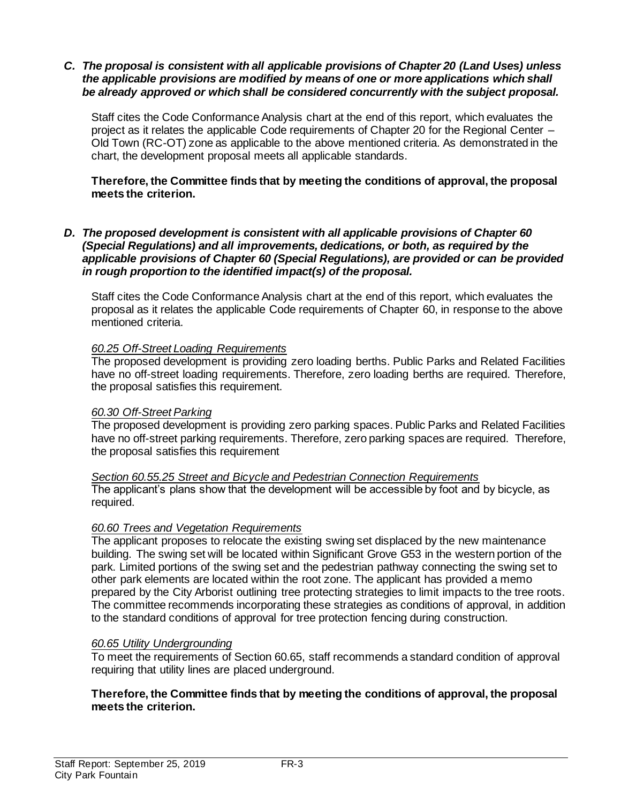#### *C. The proposal is consistent with all applicable provisions of Chapter 20 (Land Uses) unless the applicable provisions are modified by means of one or more applications which shall be already approved or which shall be considered concurrently with the subject proposal.*

Staff cites the Code Conformance Analysis chart at the end of this report, which evaluates the project as it relates the applicable Code requirements of Chapter 20 for the Regional Center – Old Town (RC-OT) zone as applicable to the above mentioned criteria. As demonstrated in the chart, the development proposal meets all applicable standards.

#### **Therefore, the Committee finds that by meeting the conditions of approval, the proposal meets the criterion.**

#### *D. The proposed development is consistent with all applicable provisions of Chapter 60 (Special Regulations) and all improvements, dedications, or both, as required by the applicable provisions of Chapter 60 (Special Regulations), are provided or can be provided in rough proportion to the identified impact(s) of the proposal.*

Staff cites the Code Conformance Analysis chart at the end of this report, which evaluates the proposal as it relates the applicable Code requirements of Chapter 60, in response to the above mentioned criteria.

#### *60.25 Off-Street Loading Requirements*

The proposed development is providing zero loading berths. Public Parks and Related Facilities have no off-street loading requirements. Therefore, zero loading berths are required. Therefore, the proposal satisfies this requirement.

#### *60.30 Off-Street Parking*

The proposed development is providing zero parking spaces. Public Parks and Related Facilities have no off-street parking requirements. Therefore, zero parking spaces are required. Therefore, the proposal satisfies this requirement

*Section 60.55.25 Street and Bicycle and Pedestrian Connection Requirements* The applicant's plans show that the development will be accessible by foot and by bicycle, as required.

#### *60.60 Trees and Vegetation Requirements*

The applicant proposes to relocate the existing swing set displaced by the new maintenance building. The swing set will be located within Significant Grove G53 in the western portion of the park. Limited portions of the swing set and the pedestrian pathway connecting the swing set to other park elements are located within the root zone. The applicant has provided a memo prepared by the City Arborist outlining tree protecting strategies to limit impacts to the tree roots. The committee recommends incorporating these strategies as conditions of approval, in addition to the standard conditions of approval for tree protection fencing during construction.

#### *60.65 Utility Undergrounding*

To meet the requirements of Section 60.65, staff recommends a standard condition of approval requiring that utility lines are placed underground.

#### **Therefore, the Committee finds that by meeting the conditions of approval, the proposal meets the criterion.**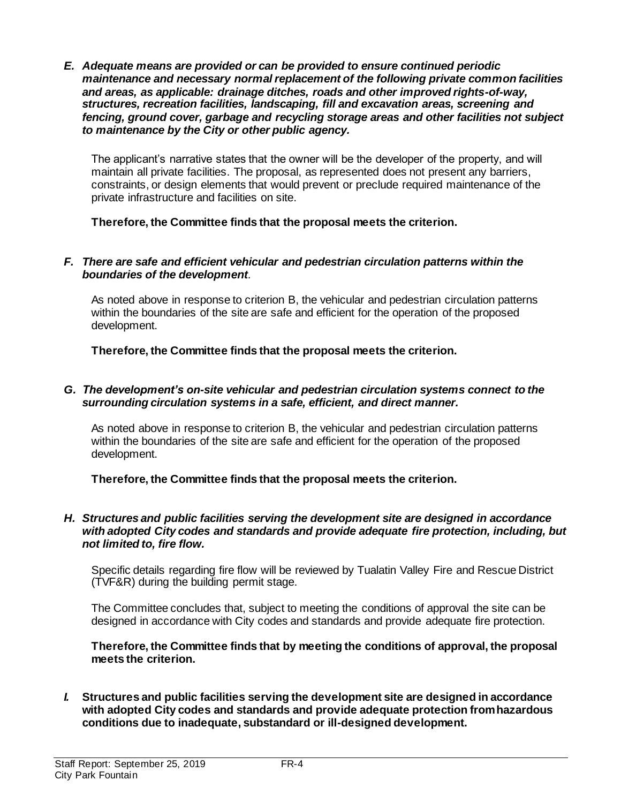*E. Adequate means are provided or can be provided to ensure continued periodic maintenance and necessary normal replacement of the following private common facilities and areas, as applicable: drainage ditches, roads and other improved rights-of-way, structures, recreation facilities, landscaping, fill and excavation areas, screening and fencing, ground cover, garbage and recycling storage areas and other facilities not subject to maintenance by the City or other public agency.*

The applicant's narrative states that the owner will be the developer of the property, and will maintain all private facilities. The proposal, as represented does not present any barriers, constraints, or design elements that would prevent or preclude required maintenance of the private infrastructure and facilities on site.

**Therefore, the Committee finds that the proposal meets the criterion.** 

#### *F. There are safe and efficient vehicular and pedestrian circulation patterns within the boundaries of the development.*

As noted above in response to criterion B, the vehicular and pedestrian circulation patterns within the boundaries of the site are safe and efficient for the operation of the proposed development.

**Therefore, the Committee finds that the proposal meets the criterion.** 

#### *G. The development's on-site vehicular and pedestrian circulation systems connect to the surrounding circulation systems in a safe, efficient, and direct manner.*

As noted above in response to criterion B, the vehicular and pedestrian circulation patterns within the boundaries of the site are safe and efficient for the operation of the proposed development.

**Therefore, the Committee finds that the proposal meets the criterion.** 

#### *H. Structures and public facilities serving the development site are designed in accordance with adopted City codes and standards and provide adequate fire protection, including, but not limited to, fire flow.*

Specific details regarding fire flow will be reviewed by Tualatin Valley Fire and Rescue District (TVF&R) during the building permit stage.

The Committee concludes that, subject to meeting the conditions of approval the site can be designed in accordance with City codes and standards and provide adequate fire protection.

**Therefore, the Committee finds that by meeting the conditions of approval, the proposal meets the criterion.** 

*I.* **Structures and public facilities serving the development site are designed in accordance with adopted City codes and standards and provide adequate protection from hazardous conditions due to inadequate, substandard or ill-designed development.**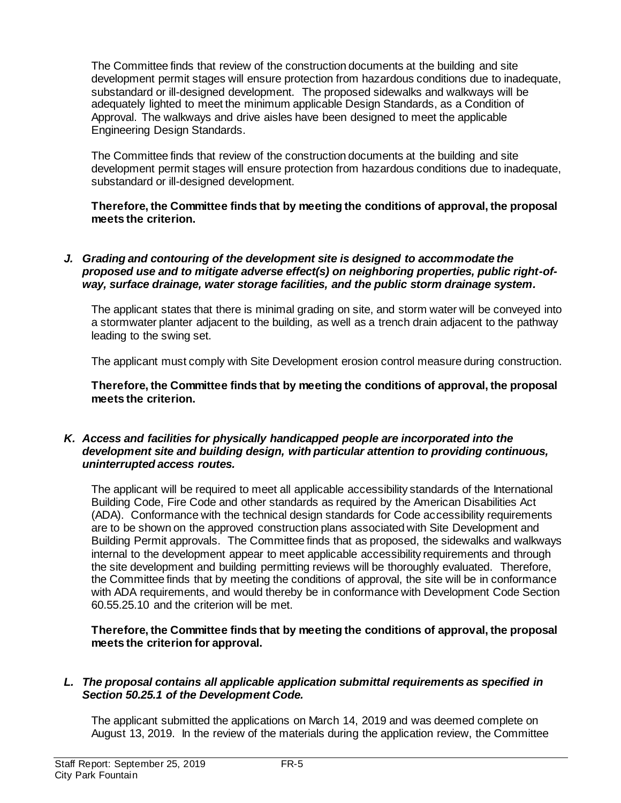The Committee finds that review of the construction documents at the building and site development permit stages will ensure protection from hazardous conditions due to inadequate, substandard or ill-designed development. The proposed sidewalks and walkways will be adequately lighted to meet the minimum applicable Design Standards, as a Condition of Approval. The walkways and drive aisles have been designed to meet the applicable Engineering Design Standards.

The Committee finds that review of the construction documents at the building and site development permit stages will ensure protection from hazardous conditions due to inadequate, substandard or ill-designed development.

**Therefore, the Committee finds that by meeting the conditions of approval, the proposal meets the criterion.** 

#### *J. Grading and contouring of the development site is designed to accommodate the proposed use and to mitigate adverse effect(s) on neighboring properties, public right-ofway, surface drainage, water storage facilities, and the public storm drainage system.*

The applicant states that there is minimal grading on site, and storm water will be conveyed into a stormwater planter adjacent to the building, as well as a trench drain adjacent to the pathway leading to the swing set.

The applicant must comply with Site Development erosion control measure during construction.

**Therefore, the Committee finds that by meeting the conditions of approval, the proposal meets the criterion.** 

#### *K. Access and facilities for physically handicapped people are incorporated into the development site and building design, with particular attention to providing continuous, uninterrupted access routes.*

The applicant will be required to meet all applicable accessibility standards of the International Building Code, Fire Code and other standards as required by the American Disabilities Act (ADA). Conformance with the technical design standards for Code accessibility requirements are to be shown on the approved construction plans associated with Site Development and Building Permit approvals. The Committee finds that as proposed, the sidewalks and walkways internal to the development appear to meet applicable accessibility requirements and through the site development and building permitting reviews will be thoroughly evaluated. Therefore, the Committee finds that by meeting the conditions of approval, the site will be in conformance with ADA requirements, and would thereby be in conformance with Development Code Section 60.55.25.10 and the criterion will be met.

**Therefore, the Committee finds that by meeting the conditions of approval, the proposal meets the criterion for approval.**

#### *L. The proposal contains all applicable application submittal requirements as specified in Section 50.25.1 of the Development Code.*

The applicant submitted the applications on March 14, 2019 and was deemed complete on August 13, 2019. In the review of the materials during the application review, the Committee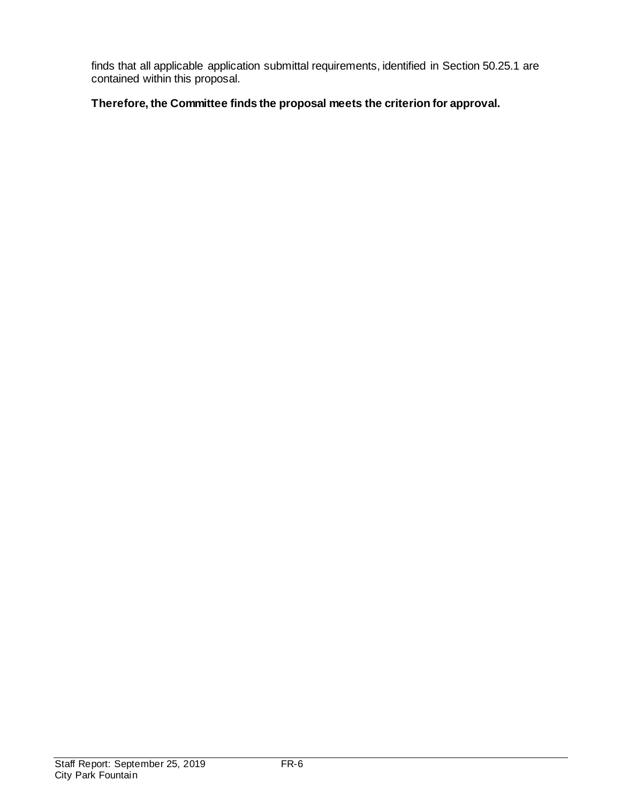finds that all applicable application submittal requirements, identified in Section 50.25.1 are contained within this proposal.

# **Therefore, the Committee finds the proposal meets the criterion for approval.**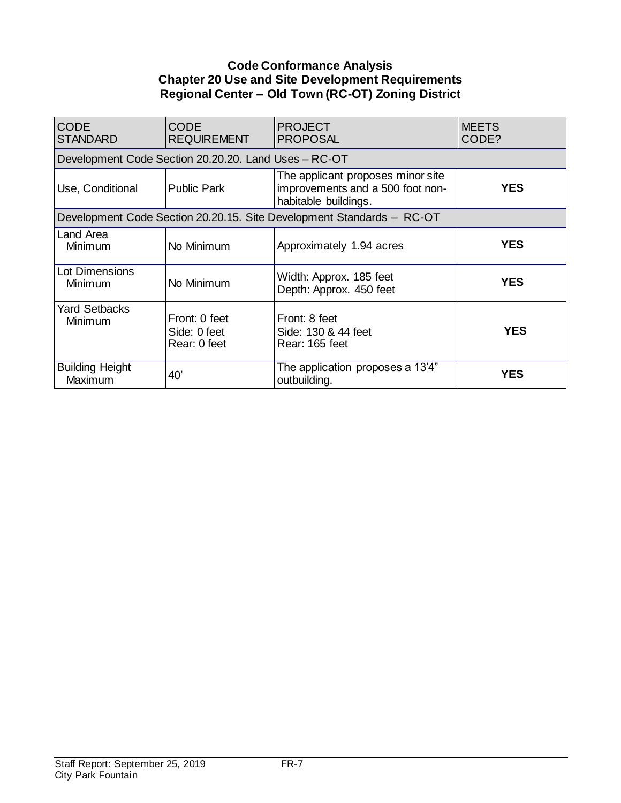## **Code Conformance Analysis Chapter 20 Use and Site Development Requirements Regional Center – Old Town (RC-OT) Zoning District**

| <b>CODE</b><br><b>STANDARD</b>    | <b>CODE</b><br><b>REQUIREMENT</b>                    | <b>PROJECT</b><br><b>PROPOSAL</b>                                                             | <b>MEETS</b><br>CODE? |
|-----------------------------------|------------------------------------------------------|-----------------------------------------------------------------------------------------------|-----------------------|
|                                   | Development Code Section 20.20.20. Land Uses - RC-OT |                                                                                               |                       |
| Use, Conditional                  | <b>Public Park</b>                                   | The applicant proposes minor site<br>improvements and a 500 foot non-<br>habitable buildings. | <b>YES</b>            |
|                                   |                                                      | Development Code Section 20.20.15. Site Development Standards - RC-OT                         |                       |
| Land Area<br>Minimum              | No Minimum                                           | Approximately 1.94 acres                                                                      | <b>YES</b>            |
| Lot Dimensions<br>Minimum         | No Minimum                                           | Width: Approx. 185 feet<br>Depth: Approx. 450 feet                                            | <b>YES</b>            |
| <b>Yard Setbacks</b><br>Minimum   | Front: 0 feet<br>Side: 0 feet<br>Rear: 0 feet        | Front: 8 feet<br>Side: 130 & 44 feet<br>Rear: 165 feet                                        | <b>YES</b>            |
| <b>Building Height</b><br>Maximum | 40'                                                  | The application proposes a 13'4"<br>outbuilding.                                              | <b>YES</b>            |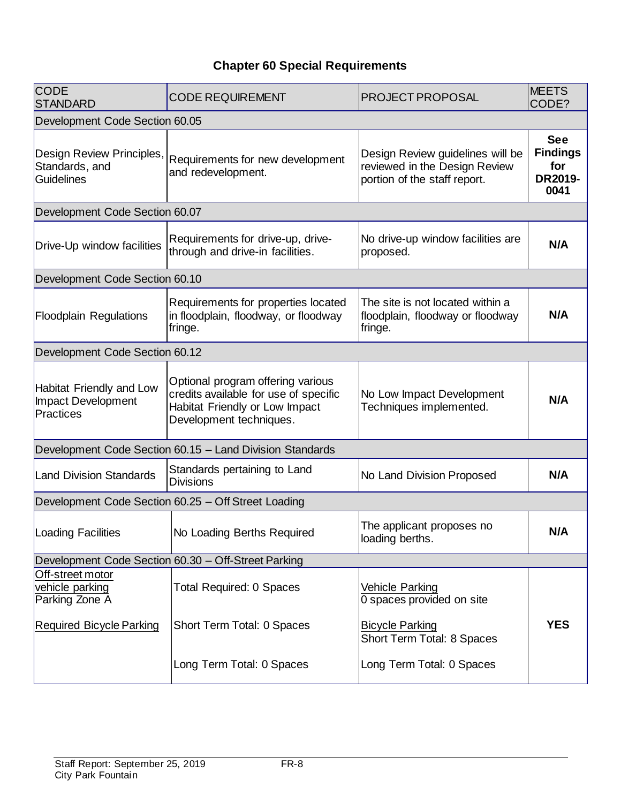# **Chapter 60 Special Requirements**

| <b>CODE</b><br>STANDARD                                            | <b>CODE REQUIREMENT</b>                                                                                                                 | <b>PROJECT PROPOSAL</b>                                                                           | <b>MEETS</b><br>CODE?                                   |
|--------------------------------------------------------------------|-----------------------------------------------------------------------------------------------------------------------------------------|---------------------------------------------------------------------------------------------------|---------------------------------------------------------|
| Development Code Section 60.05                                     |                                                                                                                                         |                                                                                                   |                                                         |
| Design Review Principles,<br>Standards, and<br>Guidelines          | Requirements for new development<br>and redevelopment.                                                                                  | Design Review guidelines will be<br>reviewed in the Design Review<br>portion of the staff report. | <b>See</b><br><b>Findings</b><br>for<br>DR2019-<br>0041 |
| Development Code Section 60.07                                     |                                                                                                                                         |                                                                                                   |                                                         |
| Drive-Up window facilities                                         | Requirements for drive-up, drive-<br>through and drive-in facilities.                                                                   | No drive-up window facilities are<br>proposed.                                                    | N/A                                                     |
| Development Code Section 60.10                                     |                                                                                                                                         |                                                                                                   |                                                         |
| <b>Floodplain Regulations</b>                                      | Requirements for properties located<br>in floodplain, floodway, or floodway<br>fringe.                                                  | The site is not located within a<br>floodplain, floodway or floodway<br>fringe.                   | N/A                                                     |
| Development Code Section 60.12                                     |                                                                                                                                         |                                                                                                   |                                                         |
| <b>Habitat Friendly and Low</b><br>Impact Development<br>Practices | Optional program offering various<br>credits available for use of specific<br>Habitat Friendly or Low Impact<br>Development techniques. | No Low Impact Development<br>Techniques implemented.                                              | N/A                                                     |
|                                                                    | Development Code Section 60.15 - Land Division Standards                                                                                |                                                                                                   |                                                         |
| <b>Land Division Standards</b>                                     | Standards pertaining to Land<br><b>Divisions</b>                                                                                        | No Land Division Proposed                                                                         | N/A                                                     |
|                                                                    | Development Code Section 60.25 - Off Street Loading                                                                                     |                                                                                                   |                                                         |
| Loading Facilities                                                 | No Loading Berths Required                                                                                                              | The applicant proposes no<br>loading berths.                                                      | N/A                                                     |
|                                                                    | Development Code Section 60.30 - Off-Street Parking                                                                                     |                                                                                                   |                                                         |
| Off-street motor<br>vehicle parking<br>Parking Zone A              | <b>Total Required: 0 Spaces</b>                                                                                                         | <b>Vehicle Parking</b><br>0 spaces provided on site                                               |                                                         |
| <b>Required Bicycle Parking</b>                                    | Short Term Total: 0 Spaces                                                                                                              | <b>Bicycle Parking</b><br>Short Term Total: 8 Spaces                                              | <b>YES</b>                                              |
|                                                                    | Long Term Total: 0 Spaces                                                                                                               | Long Term Total: 0 Spaces                                                                         |                                                         |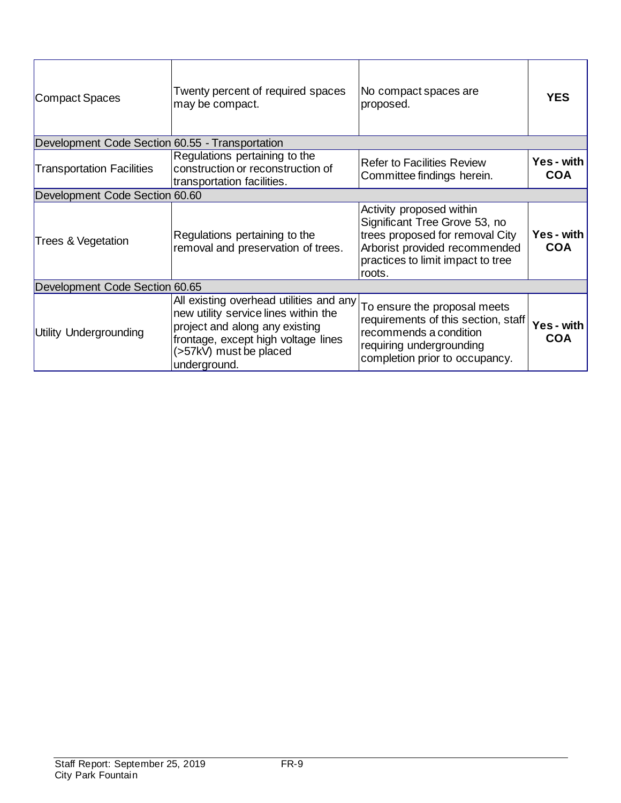| Compact Spaces                                  | Twenty percent of required spaces<br>may be compact.                                                                                                                                               | No compact spaces are<br>proposed.                                                                                                                                           | <b>YES</b>                      |
|-------------------------------------------------|----------------------------------------------------------------------------------------------------------------------------------------------------------------------------------------------------|------------------------------------------------------------------------------------------------------------------------------------------------------------------------------|---------------------------------|
| Development Code Section 60.55 - Transportation |                                                                                                                                                                                                    |                                                                                                                                                                              |                                 |
| <b>Transportation Facilities</b>                | Regulations pertaining to the<br>construction or reconstruction of<br>transportation facilities.                                                                                                   | <b>Refer to Facilities Review</b><br>Committee findings herein.                                                                                                              | <b>Yes</b> - with<br><b>COA</b> |
| Development Code Section 60.60                  |                                                                                                                                                                                                    |                                                                                                                                                                              |                                 |
| Trees & Vegetation                              | Regulations pertaining to the<br>removal and preservation of trees.                                                                                                                                | Activity proposed within<br>Significant Tree Grove 53, no<br>trees proposed for removal City<br>Arborist provided recommended<br>practices to limit impact to tree<br>roots. | Yes - with<br><b>COA</b>        |
| Development Code Section 60.65                  |                                                                                                                                                                                                    |                                                                                                                                                                              |                                 |
| <b>Utility Undergrounding</b>                   | All existing overhead utilities and any<br>new utility service lines within the<br>project and along any existing<br>frontage, except high voltage lines<br>(>57kV) must be placed<br>underground. | To ensure the proposal meets<br>requirements of this section, staff<br>recommends a condition<br>requiring undergrounding<br>completion prior to occupancy.                  | <b>Yes</b> - with<br><b>COA</b> |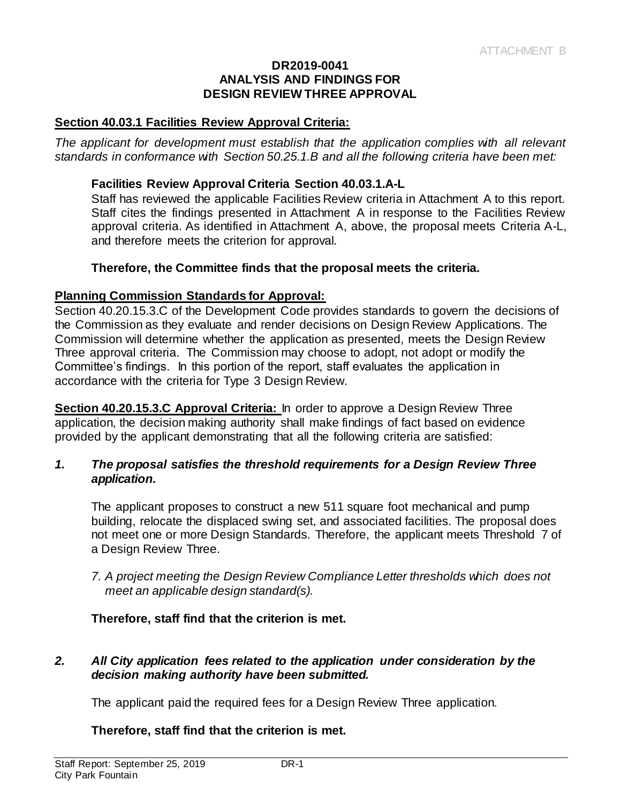#### **DR2019-0041 ANALYSIS AND FINDINGS FOR DESIGN REVIEW THREE APPROVAL**

#### **Section 40.03.1 Facilities Review Approval Criteria:**

*The applicant for development must establish that the application complies with all relevant standards in conformance with Section 50.25.1.B and all the following criteria have been met:* 

#### **Facilities Review Approval Criteria Section 40.03.1.A-L**

Staff has reviewed the applicable Facilities Review criteria in Attachment A to this report. Staff cites the findings presented in Attachment A in response to the Facilities Review approval criteria. As identified in Attachment A, above, the proposal meets Criteria A-L, and therefore meets the criterion for approval.

#### **Therefore, the Committee finds that the proposal meets the criteria.**

#### **Planning Commission Standards for Approval:**

Section 40.20.15.3.C of the Development Code provides standards to govern the decisions of the Commission as they evaluate and render decisions on Design Review Applications. The Commission will determine whether the application as presented, meets the Design Review Three approval criteria. The Commission may choose to adopt, not adopt or modify the Committee's findings. In this portion of the report, staff evaluates the application in accordance with the criteria for Type 3 Design Review.

**Section 40.20.15.3.C Approval Criteria:** In order to approve a Design Review Three application, the decision making authority shall make findings of fact based on evidence provided by the applicant demonstrating that all the following criteria are satisfied:

#### *1. The proposal satisfies the threshold requirements for a Design Review Three application.*

The applicant proposes to construct a new 511 square foot mechanical and pump building, relocate the displaced swing set, and associated facilities. The proposal does not meet one or more Design Standards. Therefore, the applicant meets Threshold 7 of a Design Review Three.

*7. A project meeting the Design Review Compliance Letter thresholds which does not meet an applicable design standard(s).*

#### **Therefore, staff find that the criterion is met.**

## *2. All City application fees related to the application under consideration by the decision making authority have been submitted.*

The applicant paid the required fees for a Design Review Three application.

#### **Therefore, staff find that the criterion is met.**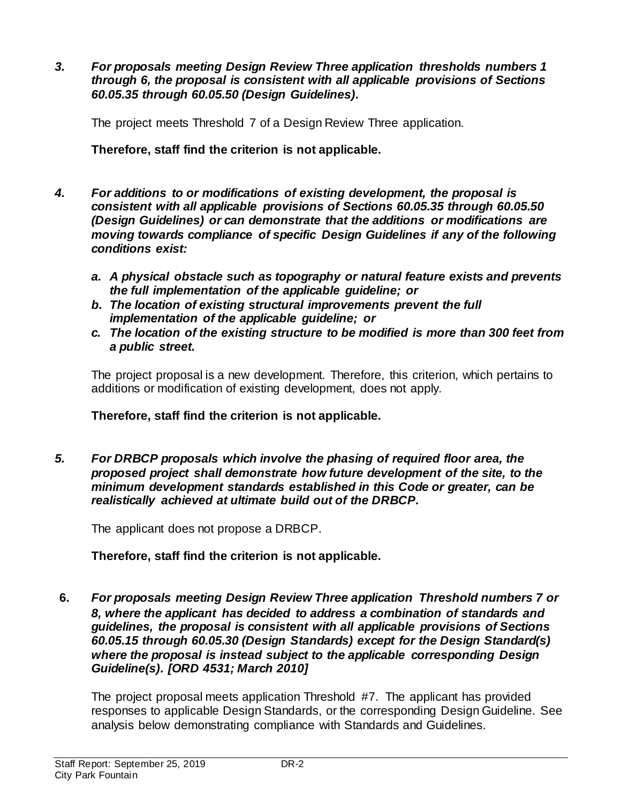*3. For proposals meeting Design Review Three application thresholds numbers 1 through 6, the proposal is consistent with all applicable provisions of Sections 60.05.35 through 60.05.50 (Design Guidelines).*

The project meets Threshold 7 of a Design Review Three application.

**Therefore, staff find the criterion is not applicable.**

- *4. For additions to or modifications of existing development, the proposal is consistent with all applicable provisions of Sections 60.05.35 through 60.05.50 (Design Guidelines) or can demonstrate that the additions or modifications are moving towards compliance of specific Design Guidelines if any of the following conditions exist:*
	- *a. A physical obstacle such as topography or natural feature exists and prevents the full implementation of the applicable guideline; or*
	- *b. The location of existing structural improvements prevent the full implementation of the applicable guideline; or*
	- *c. The location of the existing structure to be modified is more than 300 feet from a public street.*

The project proposal is a new development. Therefore, this criterion, which pertains to additions or modification of existing development, does not apply.

**Therefore, staff find the criterion is not applicable.**

*5. For DRBCP proposals which involve the phasing of required floor area, the proposed project shall demonstrate how future development of the site, to the minimum development standards established in this Code or greater, can be realistically achieved at ultimate build out of the DRBCP.*

The applicant does not propose a DRBCP.

**Therefore, staff find the criterion is not applicable.**

**6.** *For proposals meeting Design Review Three application Threshold numbers 7 or 8, where the applicant has decided to address a combination of standards and guidelines, the proposal is consistent with all applicable provisions of Sections 60.05.15 through 60.05.30 (Design Standards) except for the Design Standard(s) where the proposal is instead subject to the applicable corresponding Design Guideline(s). [ORD 4531; March 2010]*

The project proposal meets application Threshold #7. The applicant has provided responses to applicable Design Standards, or the corresponding Design Guideline. See analysis below demonstrating compliance with Standards and Guidelines.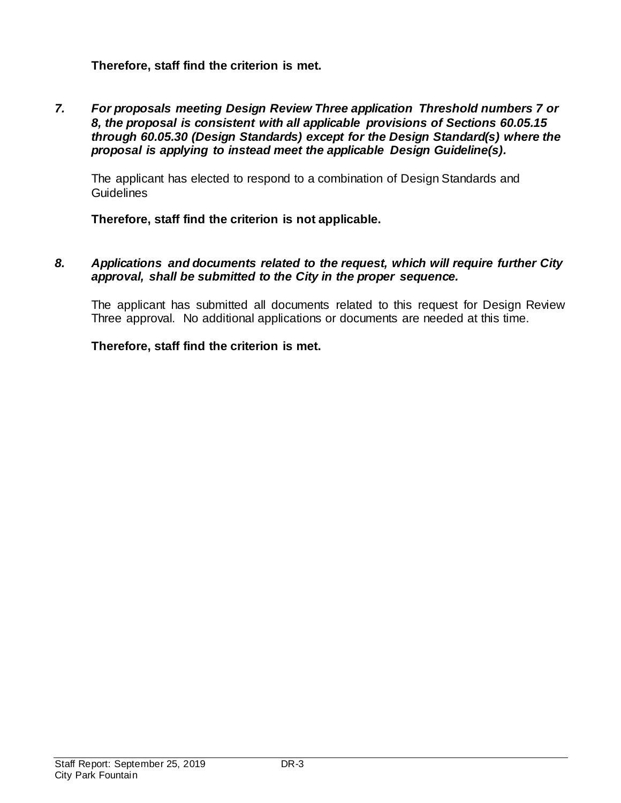# **Therefore, staff find the criterion is met.**

*7. For proposals meeting Design Review Three application Threshold numbers 7 or 8, the proposal is consistent with all applicable provisions of Sections 60.05.15 through 60.05.30 (Design Standards) except for the Design Standard(s) where the proposal is applying to instead meet the applicable Design Guideline(s).*

The applicant has elected to respond to a combination of Design Standards and Guidelines

**Therefore, staff find the criterion is not applicable.**

*8. Applications and documents related to the request, which will require further City approval, shall be submitted to the City in the proper sequence.*

The applicant has submitted all documents related to this request for Design Review Three approval. No additional applications or documents are needed at this time.

## **Therefore, staff find the criterion is met.**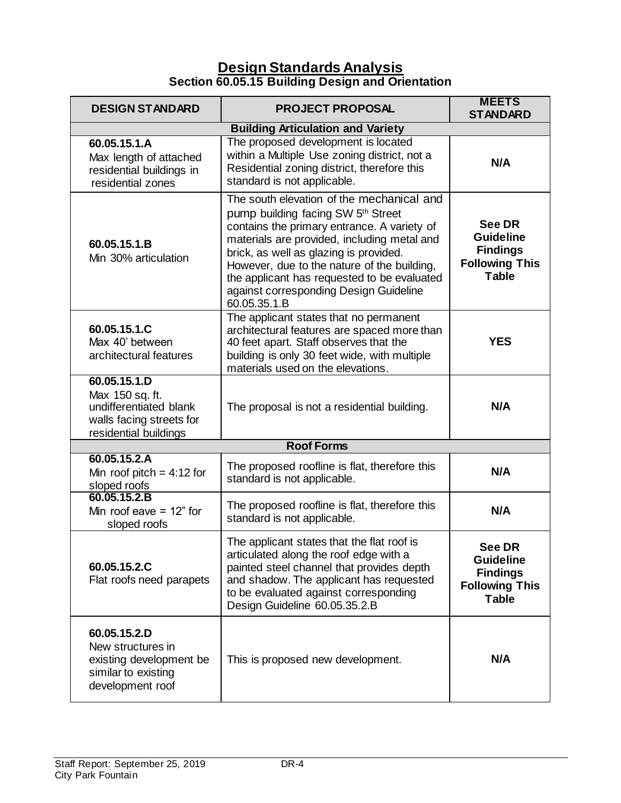# **Design Standards Analysis Section 60.05.15 Building Design and Orientation**

| <b>DESIGN STANDARD</b>                                                                                         | <b>PROJECT PROPOSAL</b>                                                                                                                                                                                                                                                                                                                                                         | <b>MEETS</b><br><b>STANDARD</b>                                                               |  |
|----------------------------------------------------------------------------------------------------------------|---------------------------------------------------------------------------------------------------------------------------------------------------------------------------------------------------------------------------------------------------------------------------------------------------------------------------------------------------------------------------------|-----------------------------------------------------------------------------------------------|--|
| <b>Building Articulation and Variety</b>                                                                       |                                                                                                                                                                                                                                                                                                                                                                                 |                                                                                               |  |
| 60.05.15.1.A<br>Max length of attached<br>residential buildings in<br>residential zones                        | The proposed development is located<br>within a Multiple Use zoning district, not a<br>Residential zoning district, therefore this<br>standard is not applicable.                                                                                                                                                                                                               | N/A                                                                                           |  |
| 60.05.15.1.B<br>Min 30% articulation                                                                           | The south elevation of the mechanical and<br>pump building facing SW 5th Street<br>contains the primary entrance. A variety of<br>materials are provided, including metal and<br>brick, as well as glazing is provided.<br>However, due to the nature of the building,<br>the applicant has requested to be evaluated<br>against corresponding Design Guideline<br>60.05.35.1.B | <b>See DR</b><br><b>Guideline</b><br><b>Findings</b><br><b>Following This</b><br><b>Table</b> |  |
| 60.05.15.1.C<br>Max 40' between<br>architectural features                                                      | The applicant states that no permanent<br>architectural features are spaced more than<br>40 feet apart. Staff observes that the<br>building is only 30 feet wide, with multiple<br>materials used on the elevations.                                                                                                                                                            | <b>YES</b>                                                                                    |  |
| 60.05.15.1.D<br>Max 150 sq. ft.<br>undifferentiated blank<br>walls facing streets for<br>residential buildings | The proposal is not a residential building.                                                                                                                                                                                                                                                                                                                                     | N/A                                                                                           |  |
|                                                                                                                | <b>Roof Forms</b>                                                                                                                                                                                                                                                                                                                                                               |                                                                                               |  |
| 60.05.15.2.A<br>Min roof pitch = $4:12$ for<br>sloped roofs                                                    | The proposed roofline is flat, therefore this<br>standard is not applicable.                                                                                                                                                                                                                                                                                                    | N/A                                                                                           |  |
| 60.05.15.2.B<br>Min roof eave $= 12$ " for<br>sloped roofs                                                     | The proposed roofline is flat, therefore this<br>standard is not applicable.                                                                                                                                                                                                                                                                                                    | N/A                                                                                           |  |
| 60.05.15.2.C<br>Flat roofs need parapets                                                                       | The applicant states that the flat roof is<br>articulated along the roof edge with a<br>painted steel channel that provides depth<br>and shadow. The applicant has requested<br>to be evaluated against corresponding<br>Design Guideline 60.05.35.2.B                                                                                                                          | See DR<br><b>Guideline</b><br><b>Findings</b><br><b>Following This</b><br><b>Table</b>        |  |
| 60.05.15.2.D<br>New structures in<br>existing development be<br>similar to existing<br>development roof        | This is proposed new development.                                                                                                                                                                                                                                                                                                                                               | N/A                                                                                           |  |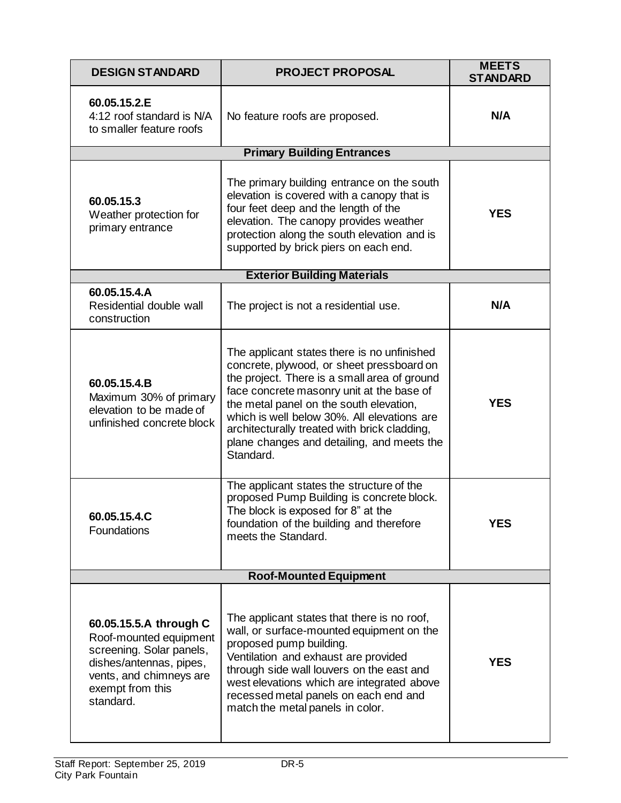| <b>DESIGN STANDARD</b>                                                                                                                                              | <b>PROJECT PROPOSAL</b>                                                                                                                                                                                                                                                                                                                                                                    | <b>MEETS</b><br><b>STANDARD</b> |
|---------------------------------------------------------------------------------------------------------------------------------------------------------------------|--------------------------------------------------------------------------------------------------------------------------------------------------------------------------------------------------------------------------------------------------------------------------------------------------------------------------------------------------------------------------------------------|---------------------------------|
| 60.05.15.2.E<br>4:12 roof standard is N/A<br>to smaller feature roofs                                                                                               | No feature roofs are proposed.                                                                                                                                                                                                                                                                                                                                                             | N/A                             |
|                                                                                                                                                                     | <b>Primary Building Entrances</b>                                                                                                                                                                                                                                                                                                                                                          |                                 |
| 60.05.15.3<br>Weather protection for<br>primary entrance                                                                                                            | The primary building entrance on the south<br>elevation is covered with a canopy that is<br>four feet deep and the length of the<br>elevation. The canopy provides weather<br>protection along the south elevation and is<br>supported by brick piers on each end.                                                                                                                         | <b>YES</b>                      |
|                                                                                                                                                                     | <b>Exterior Building Materials</b>                                                                                                                                                                                                                                                                                                                                                         |                                 |
| 60.05.15.4.A<br>Residential double wall<br>construction                                                                                                             | The project is not a residential use.                                                                                                                                                                                                                                                                                                                                                      | N/A                             |
| 60.05.15.4.B<br>Maximum 30% of primary<br>elevation to be made of<br>unfinished concrete block                                                                      | The applicant states there is no unfinished<br>concrete, plywood, or sheet pressboard on<br>the project. There is a small area of ground<br>face concrete masonry unit at the base of<br>the metal panel on the south elevation,<br>which is well below 30%. All elevations are<br>architecturally treated with brick cladding,<br>plane changes and detailing, and meets the<br>Standard. | <b>YES</b>                      |
| 60.05.15.4.C<br>Foundations                                                                                                                                         | The applicant states the structure of the<br>proposed Pump Building is concrete block.<br>The block is exposed for 8" at the<br>foundation of the building and therefore<br>meets the Standard.                                                                                                                                                                                            | <b>YES</b>                      |
|                                                                                                                                                                     | <b>Roof-Mounted Equipment</b>                                                                                                                                                                                                                                                                                                                                                              |                                 |
| 60.05.15.5.A through C<br>Roof-mounted equipment<br>screening. Solar panels,<br>dishes/antennas, pipes,<br>vents, and chimneys are<br>exempt from this<br>standard. | The applicant states that there is no roof,<br>wall, or surface-mounted equipment on the<br>proposed pump building.<br>Ventilation and exhaust are provided<br>through side wall louvers on the east and<br>west elevations which are integrated above<br>recessed metal panels on each end and<br>match the metal panels in color.                                                        | <b>YES</b>                      |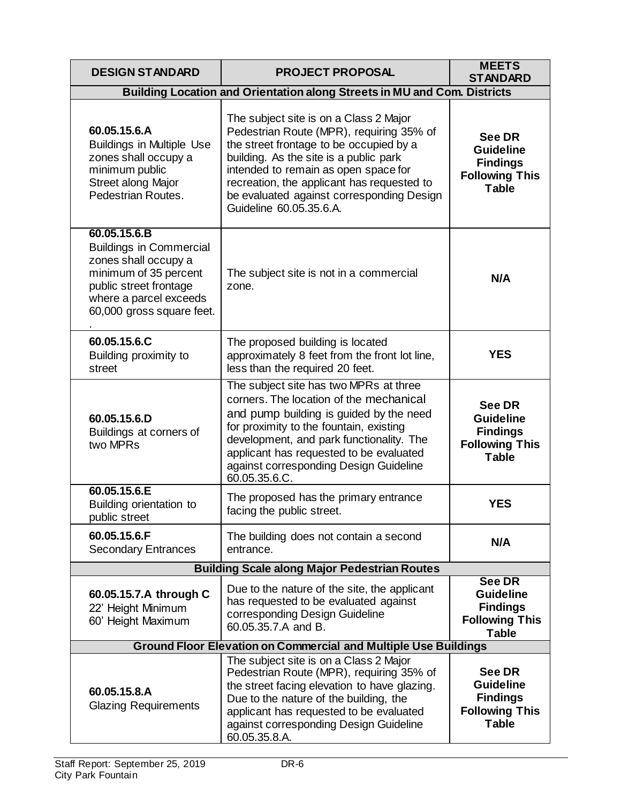| <b>DESIGN STANDARD</b>                                                                                                                                                           | <b>PROJECT PROPOSAL</b>                                                                                                                                                                                                                                                                                                               | <b>MEETS</b><br><b>STANDARD</b>                                                               |  |  |
|----------------------------------------------------------------------------------------------------------------------------------------------------------------------------------|---------------------------------------------------------------------------------------------------------------------------------------------------------------------------------------------------------------------------------------------------------------------------------------------------------------------------------------|-----------------------------------------------------------------------------------------------|--|--|
|                                                                                                                                                                                  | Building Location and Orientation along Streets in MU and Com. Districts                                                                                                                                                                                                                                                              |                                                                                               |  |  |
| 60.05.15.6.A<br><b>Buildings in Multiple Use</b><br>zones shall occupy a<br>minimum public<br>Street along Major<br>Pedestrian Routes.                                           | The subject site is on a Class 2 Major<br>Pedestrian Route (MPR), requiring 35% of<br>the street frontage to be occupied by a<br>building. As the site is a public park<br>intended to remain as open space for<br>recreation, the applicant has requested to<br>be evaluated against corresponding Design<br>Guideline 60.05.35.6.A. | <b>See DR</b><br><b>Guideline</b><br><b>Findings</b><br><b>Following This</b><br><b>Table</b> |  |  |
| 60.05.15.6.B<br><b>Buildings in Commercial</b><br>zones shall occupy a<br>minimum of 35 percent<br>public street frontage<br>where a parcel exceeds<br>60,000 gross square feet. | The subject site is not in a commercial<br>zone.                                                                                                                                                                                                                                                                                      | N/A                                                                                           |  |  |
| 60.05.15.6.C<br>Building proximity to<br>street                                                                                                                                  | The proposed building is located<br>approximately 8 feet from the front lot line,<br>less than the required 20 feet.                                                                                                                                                                                                                  | <b>YES</b>                                                                                    |  |  |
| 60.05.15.6.D<br>Buildings at corners of<br>two MPRs                                                                                                                              | The subject site has two MPRs at three<br>corners. The location of the mechanical<br>and pump building is guided by the need<br>for proximity to the fountain, existing<br>development, and park functionality. The<br>applicant has requested to be evaluated<br>against corresponding Design Guideline<br>60.05.35.6.C.             | <b>See DR</b><br><b>Guideline</b><br><b>Findings</b><br><b>Following This</b><br><b>Table</b> |  |  |
| 60.05.15.6.E<br>Building orientation to<br>public street                                                                                                                         | The proposed has the primary entrance<br>facing the public street.                                                                                                                                                                                                                                                                    | <b>YES</b>                                                                                    |  |  |
| 60.05.15.6.F<br><b>Secondary Entrances</b>                                                                                                                                       | The building does not contain a second<br>entrance.                                                                                                                                                                                                                                                                                   | N/A                                                                                           |  |  |
|                                                                                                                                                                                  | <b>Building Scale along Major Pedestrian Routes</b>                                                                                                                                                                                                                                                                                   |                                                                                               |  |  |
| 60.05.15.7.A through C<br>22' Height Minimum<br>60' Height Maximum                                                                                                               | Due to the nature of the site, the applicant<br>has requested to be evaluated against<br>corresponding Design Guideline<br>60.05.35.7.A and B.                                                                                                                                                                                        | <b>See DR</b><br><b>Guideline</b><br><b>Findings</b><br><b>Following This</b><br><b>Table</b> |  |  |
| <b>Ground Floor Elevation on Commercial and Multiple Use Buildings</b>                                                                                                           |                                                                                                                                                                                                                                                                                                                                       |                                                                                               |  |  |
| 60.05.15.8.A<br><b>Glazing Requirements</b>                                                                                                                                      | The subject site is on a Class 2 Major<br>Pedestrian Route (MPR), requiring 35% of<br>the street facing elevation to have glazing.<br>Due to the nature of the building, the<br>applicant has requested to be evaluated<br>against corresponding Design Guideline<br>60.05.35.8.A.                                                    | <b>See DR</b><br><b>Guideline</b><br><b>Findings</b><br><b>Following This</b><br><b>Table</b> |  |  |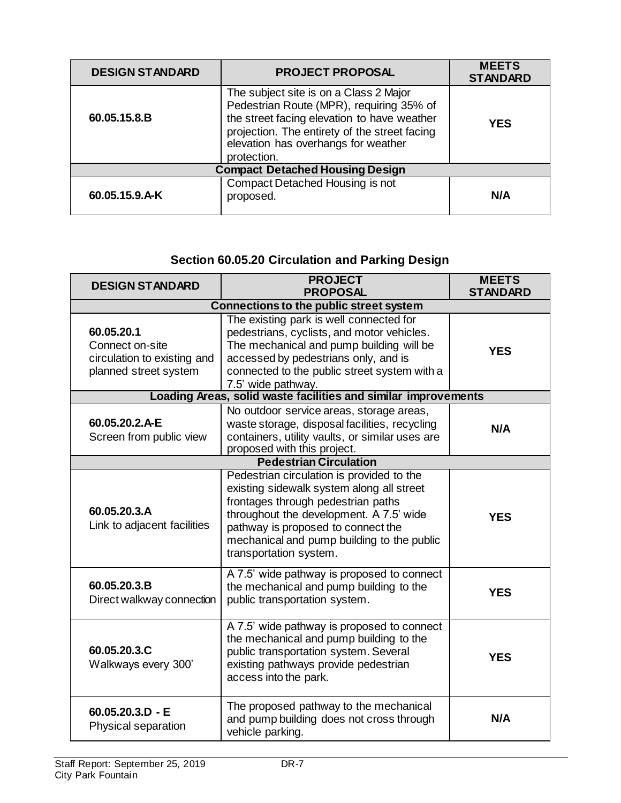| <b>DESIGN STANDARD</b>                 | <b>PROJECT PROPOSAL</b>                                                                                                                                                                                                                  | <b>MEETS</b><br><b>STANDARD</b> |  |
|----------------------------------------|------------------------------------------------------------------------------------------------------------------------------------------------------------------------------------------------------------------------------------------|---------------------------------|--|
| 60.05.15.8.B                           | The subject site is on a Class 2 Major<br>Pedestrian Route (MPR), requiring 35% of<br>the street facing elevation to have weather<br>projection. The entirety of the street facing<br>elevation has overhangs for weather<br>protection. | <b>YES</b>                      |  |
| <b>Compact Detached Housing Design</b> |                                                                                                                                                                                                                                          |                                 |  |
| 60.05.15.9.A-K                         | Compact Detached Housing is not<br>proposed.                                                                                                                                                                                             | N/A                             |  |

# **Section 60.05.20 Circulation and Parking Design**

| <b>DESIGN STANDARD</b>                                                                | <b>PROJECT</b><br><b>PROPOSAL</b>                                                                                                                                                                                                                                                     | <b>MEETS</b><br><b>STANDARD</b> |  |  |
|---------------------------------------------------------------------------------------|---------------------------------------------------------------------------------------------------------------------------------------------------------------------------------------------------------------------------------------------------------------------------------------|---------------------------------|--|--|
|                                                                                       | <b>Connections to the public street system</b>                                                                                                                                                                                                                                        |                                 |  |  |
| 60.05.20.1<br>Connect on-site<br>circulation to existing and<br>planned street system | The existing park is well connected for<br>pedestrians, cyclists, and motor vehicles.<br>The mechanical and pump building will be<br>accessed by pedestrians only, and is<br>connected to the public street system with a<br>7.5' wide pathway.                                       | <b>YES</b>                      |  |  |
|                                                                                       | Loading Areas, solid waste facilities and similar improvements                                                                                                                                                                                                                        |                                 |  |  |
| 60.05.20.2.A-E<br>Screen from public view                                             | No outdoor service areas, storage areas,<br>waste storage, disposal facilities, recycling<br>containers, utility vaults, or similar uses are<br>proposed with this project.                                                                                                           | N/A                             |  |  |
|                                                                                       | <b>Pedestrian Circulation</b>                                                                                                                                                                                                                                                         |                                 |  |  |
| 60.05.20.3.A<br>Link to adjacent facilities                                           | Pedestrian circulation is provided to the<br>existing sidewalk system along all street<br>frontages through pedestrian paths<br>throughout the development. A 7.5' wide<br>pathway is proposed to connect the<br>mechanical and pump building to the public<br>transportation system. | <b>YES</b>                      |  |  |
| 60.05.20.3.B<br>Direct walkway connection                                             | A 7.5' wide pathway is proposed to connect<br>the mechanical and pump building to the<br>public transportation system.                                                                                                                                                                | <b>YES</b>                      |  |  |
| 60.05.20.3.C<br>Walkways every 300'                                                   | A 7.5' wide pathway is proposed to connect<br>the mechanical and pump building to the<br>public transportation system. Several<br>existing pathways provide pedestrian<br>access into the park.                                                                                       | <b>YES</b>                      |  |  |
| $60.05.20.3.D - E$<br>Physical separation                                             | The proposed pathway to the mechanical<br>and pump building does not cross through<br>vehicle parking.                                                                                                                                                                                | N/A                             |  |  |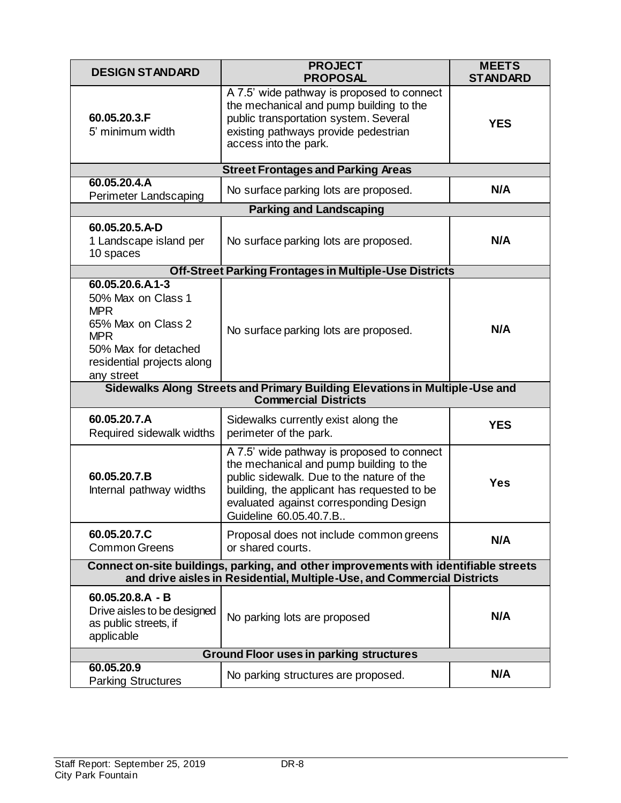| <b>DESIGN STANDARD</b>                                                                                                                                          | <b>PROJECT</b><br><b>PROPOSAL</b>                                                                                                                                                                                                                     | <b>MEETS</b><br><b>STANDARD</b> |  |
|-----------------------------------------------------------------------------------------------------------------------------------------------------------------|-------------------------------------------------------------------------------------------------------------------------------------------------------------------------------------------------------------------------------------------------------|---------------------------------|--|
| 60.05.20.3.F<br>5' minimum width                                                                                                                                | A 7.5' wide pathway is proposed to connect<br>the mechanical and pump building to the<br>public transportation system. Several<br>existing pathways provide pedestrian<br>access into the park.                                                       | <b>YES</b>                      |  |
|                                                                                                                                                                 | <b>Street Frontages and Parking Areas</b>                                                                                                                                                                                                             |                                 |  |
| 60.05.20.4.A<br>Perimeter Landscaping                                                                                                                           | No surface parking lots are proposed.                                                                                                                                                                                                                 | N/A                             |  |
|                                                                                                                                                                 | <b>Parking and Landscaping</b>                                                                                                                                                                                                                        |                                 |  |
| 60.05.20.5.A-D<br>1 Landscape island per<br>10 spaces                                                                                                           | No surface parking lots are proposed.                                                                                                                                                                                                                 | N/A                             |  |
|                                                                                                                                                                 | <b>Off-Street Parking Frontages in Multiple-Use Districts</b>                                                                                                                                                                                         |                                 |  |
| 60.05.20.6.A1-3<br>50% Max on Class 1<br><b>MPR</b><br>65% Max on Class 2<br><b>MPR</b><br>50% Max for detached<br>residential projects along<br>any street     | No surface parking lots are proposed.                                                                                                                                                                                                                 | N/A                             |  |
|                                                                                                                                                                 | Sidewalks Along Streets and Primary Building Elevations in Multiple-Use and<br><b>Commercial Districts</b>                                                                                                                                            |                                 |  |
| 60.05.20.7.A<br>Required sidewalk widths                                                                                                                        | Sidewalks currently exist along the<br>perimeter of the park.                                                                                                                                                                                         | <b>YES</b>                      |  |
| 60.05.20.7.B<br>Internal pathway widths                                                                                                                         | A 7.5' wide pathway is proposed to connect<br>the mechanical and pump building to the<br>public sidewalk. Due to the nature of the<br>building, the applicant has requested to be<br>evaluated against corresponding Design<br>Guideline 60.05.40.7.B | <b>Yes</b>                      |  |
| 60.05.20.7.C<br><b>Common Greens</b>                                                                                                                            | Proposal does not include common greens<br>or shared courts.                                                                                                                                                                                          | N/A                             |  |
| Connect on-site buildings, parking, and other improvements with identifiable streets<br>and drive aisles in Residential, Multiple-Use, and Commercial Districts |                                                                                                                                                                                                                                                       |                                 |  |
| $60.05.20.8.A - B$<br>Drive aisles to be designed<br>as public streets, if<br>applicable                                                                        | No parking lots are proposed                                                                                                                                                                                                                          | N/A                             |  |
| <b>Ground Floor uses in parking structures</b>                                                                                                                  |                                                                                                                                                                                                                                                       |                                 |  |
| 60.05.20.9<br><b>Parking Structures</b>                                                                                                                         | No parking structures are proposed.                                                                                                                                                                                                                   | N/A                             |  |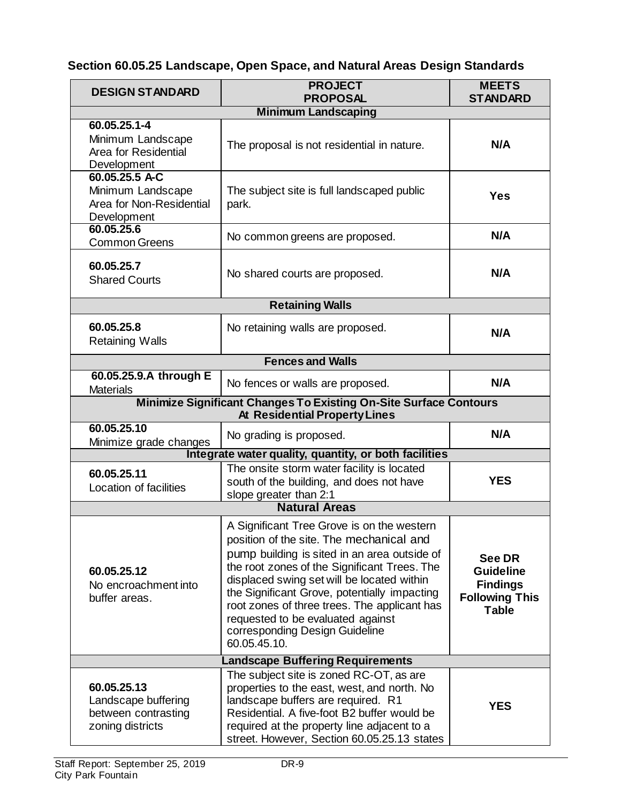# **Section 60.05.25 Landscape, Open Space, and Natural Areas Design Standards**

| <b>DESIGN STANDARD</b>                                                                                           | <b>PROJECT</b><br><b>PROPOSAL</b>                                                                                                                                                                                                                                                                                                                                                                                           | <b>MEETS</b><br><b>STANDARD</b>                                                        |  |  |
|------------------------------------------------------------------------------------------------------------------|-----------------------------------------------------------------------------------------------------------------------------------------------------------------------------------------------------------------------------------------------------------------------------------------------------------------------------------------------------------------------------------------------------------------------------|----------------------------------------------------------------------------------------|--|--|
| <b>Minimum Landscaping</b>                                                                                       |                                                                                                                                                                                                                                                                                                                                                                                                                             |                                                                                        |  |  |
| 60.05.25.1-4<br>Minimum Landscape<br>Area for Residential<br>Development                                         | The proposal is not residential in nature.                                                                                                                                                                                                                                                                                                                                                                                  | N/A                                                                                    |  |  |
| 60.05.25.5 A-C<br>Minimum Landscape<br>Area for Non-Residential<br>Development                                   | The subject site is full landscaped public<br>park.                                                                                                                                                                                                                                                                                                                                                                         | <b>Yes</b>                                                                             |  |  |
| 60.05.25.6<br><b>Common Greens</b>                                                                               | No common greens are proposed.                                                                                                                                                                                                                                                                                                                                                                                              | N/A                                                                                    |  |  |
| 60.05.25.7<br><b>Shared Courts</b>                                                                               | No shared courts are proposed.                                                                                                                                                                                                                                                                                                                                                                                              | N/A                                                                                    |  |  |
|                                                                                                                  | <b>Retaining Walls</b>                                                                                                                                                                                                                                                                                                                                                                                                      |                                                                                        |  |  |
| 60.05.25.8<br><b>Retaining Walls</b>                                                                             | No retaining walls are proposed.                                                                                                                                                                                                                                                                                                                                                                                            | N/A                                                                                    |  |  |
| <b>Fences and Walls</b>                                                                                          |                                                                                                                                                                                                                                                                                                                                                                                                                             |                                                                                        |  |  |
| 60.05.25.9.A through E<br><b>Materials</b>                                                                       | No fences or walls are proposed.                                                                                                                                                                                                                                                                                                                                                                                            | N/A                                                                                    |  |  |
| <b>Minimize Significant Changes To Existing On-Site Surface Contours</b><br><b>At Residential Property Lines</b> |                                                                                                                                                                                                                                                                                                                                                                                                                             |                                                                                        |  |  |
| 60.05.25.10<br>Minimize grade changes                                                                            | No grading is proposed.                                                                                                                                                                                                                                                                                                                                                                                                     | N/A                                                                                    |  |  |
| Integrate water quality, quantity, or both facilities                                                            |                                                                                                                                                                                                                                                                                                                                                                                                                             |                                                                                        |  |  |
| 60.05.25.11<br>Location of facilities                                                                            | The onsite storm water facility is located<br>south of the building, and does not have<br>slope greater than 2:1                                                                                                                                                                                                                                                                                                            | <b>YES</b>                                                                             |  |  |
| <b>Natural Areas</b>                                                                                             |                                                                                                                                                                                                                                                                                                                                                                                                                             |                                                                                        |  |  |
| 60.05.25.12<br>No encroachment into<br>buffer areas.                                                             | A Significant Tree Grove is on the western<br>position of the site. The mechanical and<br>pump building is sited in an area outside of<br>the root zones of the Significant Trees. The<br>displaced swing set will be located within<br>the Significant Grove, potentially impacting<br>root zones of three trees. The applicant has<br>requested to be evaluated against<br>corresponding Design Guideline<br>60.05.45.10. | See DR<br><b>Guideline</b><br><b>Findings</b><br><b>Following This</b><br><b>Table</b> |  |  |
| <b>Landscape Buffering Requirements</b>                                                                          |                                                                                                                                                                                                                                                                                                                                                                                                                             |                                                                                        |  |  |
| 60.05.25.13<br>Landscape buffering<br>between contrasting<br>zoning districts                                    | The subject site is zoned RC-OT, as are<br>properties to the east, west, and north. No<br>landscape buffers are required. R1<br>Residential. A five-foot B2 buffer would be<br>required at the property line adjacent to a<br>street. However, Section 60.05.25.13 states                                                                                                                                                   | <b>YES</b>                                                                             |  |  |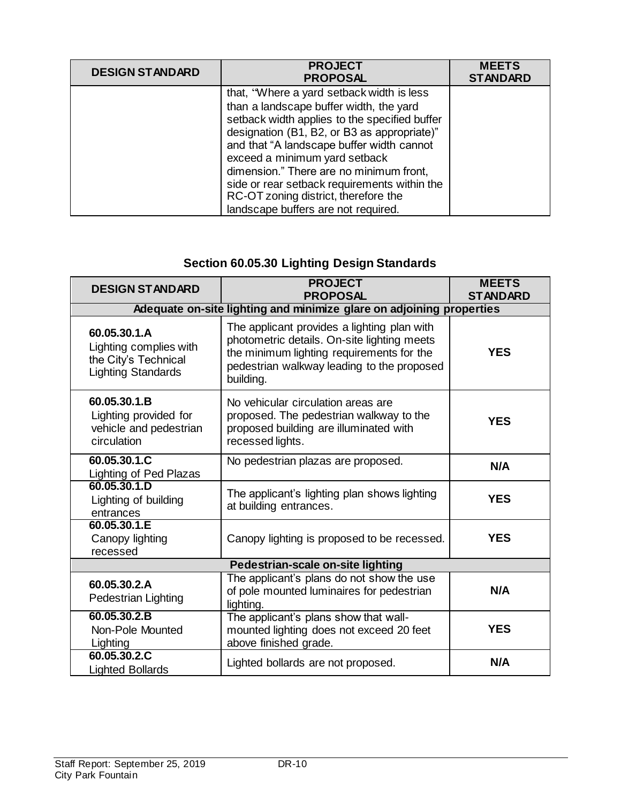| <b>DESIGN STANDARD</b> | <b>PROJECT</b><br><b>PROPOSAL</b>                                                                                                                                                                                                                                                                                                                                                                                                            | <b>MEETS</b><br><b>STANDARD</b> |
|------------------------|----------------------------------------------------------------------------------------------------------------------------------------------------------------------------------------------------------------------------------------------------------------------------------------------------------------------------------------------------------------------------------------------------------------------------------------------|---------------------------------|
|                        | that, "Where a yard setback width is less<br>than a landscape buffer width, the yard<br>setback width applies to the specified buffer<br>designation (B1, B2, or B3 as appropriate)"<br>and that "A landscape buffer width cannot<br>exceed a minimum yard setback<br>dimension." There are no minimum front,<br>side or rear setback requirements within the<br>RC-OT zoning district, therefore the<br>landscape buffers are not required. |                                 |

# **Section 60.05.30 Lighting Design Standards**

| <b>DESIGN STANDARD</b>                                                                      | <b>PROJECT</b><br><b>PROPOSAL</b>                                                                                                                                                                  | <b>MEETS</b><br><b>STANDARD</b> |  |
|---------------------------------------------------------------------------------------------|----------------------------------------------------------------------------------------------------------------------------------------------------------------------------------------------------|---------------------------------|--|
| Adequate on-site lighting and minimize glare on adjoining properties                        |                                                                                                                                                                                                    |                                 |  |
| 60.05.30.1.A<br>Lighting complies with<br>the City's Technical<br><b>Lighting Standards</b> | The applicant provides a lighting plan with<br>photometric details. On-site lighting meets<br>the minimum lighting requirements for the<br>pedestrian walkway leading to the proposed<br>building. | <b>YES</b>                      |  |
| 60.05.30.1.B<br>Lighting provided for<br>vehicle and pedestrian<br>circulation              | No vehicular circulation areas are<br>proposed. The pedestrian walkway to the<br>proposed building are illuminated with<br>recessed lights.                                                        | <b>YES</b>                      |  |
| 60.05.30.1.C<br><b>Lighting of Ped Plazas</b>                                               | No pedestrian plazas are proposed.                                                                                                                                                                 | N/A                             |  |
| 60.05.30.1.D<br>Lighting of building<br>entrances                                           | The applicant's lighting plan shows lighting<br>at building entrances.                                                                                                                             | <b>YES</b>                      |  |
| 60.05.30.1.E<br>Canopy lighting<br>recessed                                                 | Canopy lighting is proposed to be recessed.                                                                                                                                                        | <b>YES</b>                      |  |
| Pedestrian-scale on-site lighting                                                           |                                                                                                                                                                                                    |                                 |  |
| 60.05.30.2.A<br>Pedestrian Lighting                                                         | The applicant's plans do not show the use<br>of pole mounted luminaires for pedestrian<br>lighting.                                                                                                | N/A                             |  |
| 60.05.30.2.B<br>Non-Pole Mounted<br>Lighting                                                | The applicant's plans show that wall-<br>mounted lighting does not exceed 20 feet<br>above finished grade.                                                                                         | <b>YES</b>                      |  |
| 60.05.30.2.C<br><b>Lighted Bollards</b>                                                     | Lighted bollards are not proposed.                                                                                                                                                                 | N/A                             |  |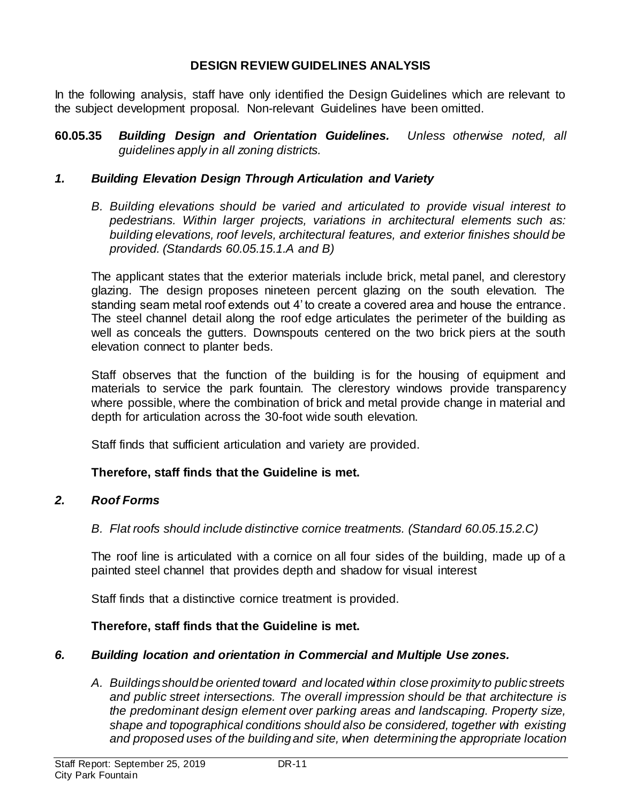# **DESIGN REVIEW GUIDELINES ANALYSIS**

In the following analysis, staff have only identified the Design Guidelines which are relevant to the subject development proposal. Non-relevant Guidelines have been omitted.

**60.05.35** *Building Design and Orientation Guidelines. Unless otherwise noted, all guidelines apply in all zoning districts.*

# *1. Building Elevation Design Through Articulation and Variety*

*B. Building elevations should be varied and articulated to provide visual interest to pedestrians. Within larger projects, variations in architectural elements such as: building elevations, roof levels, architectural features, and exterior finishes should be provided. (Standards 60.05.15.1.A and B)*

The applicant states that the exterior materials include brick, metal panel, and clerestory glazing. The design proposes nineteen percent glazing on the south elevation. The standing seam metal roof extends out 4' to create a covered area and house the entrance. The steel channel detail along the roof edge articulates the perimeter of the building as well as conceals the gutters. Downspouts centered on the two brick piers at the south elevation connect to planter beds.

Staff observes that the function of the building is for the housing of equipment and materials to service the park fountain. The clerestory windows provide transparency where possible, where the combination of brick and metal provide change in material and depth for articulation across the 30-foot wide south elevation.

Staff finds that sufficient articulation and variety are provided.

# **Therefore, staff finds that the Guideline is met.**

# *2. Roof Forms*

*B. Flat roofs should include distinctive cornice treatments. (Standard 60.05.15.2.C)*

The roof line is articulated with a cornice on all four sides of the building, made up of a painted steel channel that provides depth and shadow for visual interest

Staff finds that a distinctive cornice treatment is provided.

# **Therefore, staff finds that the Guideline is met.**

# *6. Building location and orientation in Commercial and Multiple Use zones.*

*A. Buildings should be oriented toward and located within close proximity to public streets and public street intersections. The overall impression should be that architecture is the predominant design element over parking areas and landscaping. Property size, shape and topographical conditions should also be considered, together with existing and proposed uses of the building and site, when determining the appropriate location*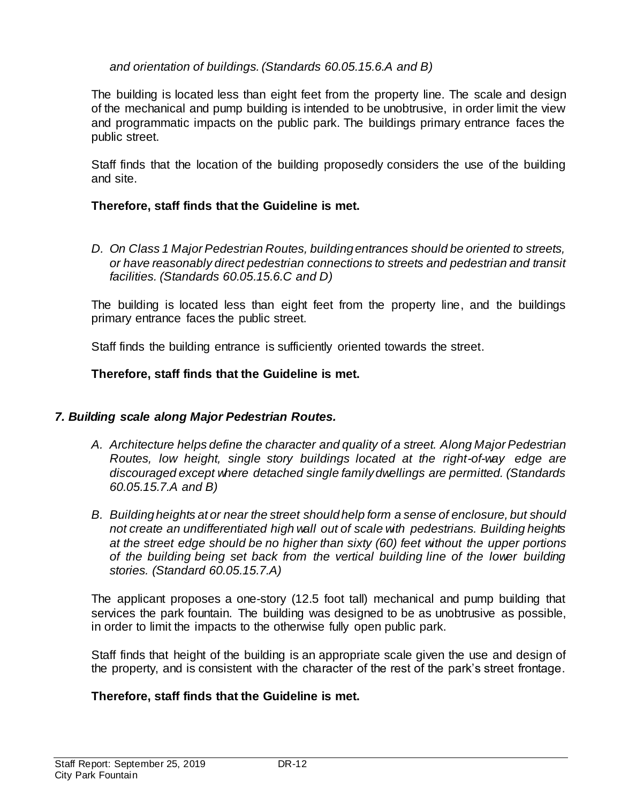# *and orientation of buildings. (Standards 60.05.15.6.A and B)*

The building is located less than eight feet from the property line. The scale and design of the mechanical and pump building is intended to be unobtrusive, in order limit the view and programmatic impacts on the public park. The buildings primary entrance faces the public street.

Staff finds that the location of the building proposedly considers the use of the building and site.

## **Therefore, staff finds that the Guideline is met.**

*D. On Class 1 Major Pedestrian Routes, building entrances should be oriented to streets, or have reasonably direct pedestrian connections to streets and pedestrian and transit facilities. (Standards 60.05.15.6.C and D)*

The building is located less than eight feet from the property line, and the buildings primary entrance faces the public street.

Staff finds the building entrance is sufficiently oriented towards the street.

# **Therefore, staff finds that the Guideline is met.**

# *7. Building scale along Major Pedestrian Routes.*

- *A. Architecture helps define the character and quality of a street. Along Major Pedestrian Routes, low height, single story buildings located at the right-of-way edge are discouraged except where detached single family dwellings are permitted. (Standards 60.05.15.7.A and B)*
- *B. Building heights at or near the street should help form a sense of enclosure, but should not create an undifferentiated high wall out of scale with pedestrians. Building heights at the street edge should be no higher than sixty (60) feet without the upper portions of the building being set back from the vertical building line of the lower building stories. (Standard 60.05.15.7.A)*

The applicant proposes a one-story (12.5 foot tall) mechanical and pump building that services the park fountain. The building was designed to be as unobtrusive as possible, in order to limit the impacts to the otherwise fully open public park.

Staff finds that height of the building is an appropriate scale given the use and design of the property, and is consistent with the character of the rest of the park's street frontage.

# **Therefore, staff finds that the Guideline is met.**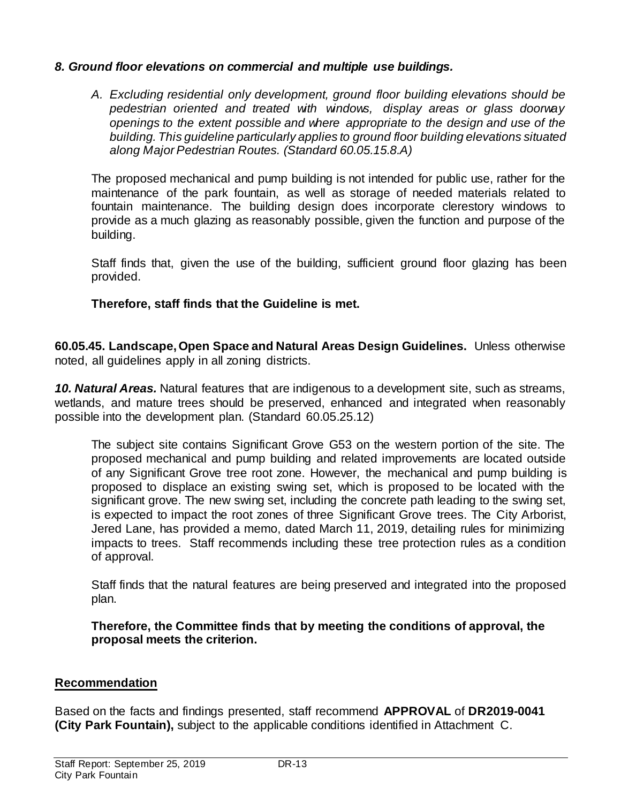## *8. Ground floor elevations on commercial and multiple use buildings.*

*A. Excluding residential only development, ground floor building elevations should be pedestrian oriented and treated with windows, display areas or glass doorway openings to the extent possible and where appropriate to the design and use of the building. This guideline particularly applies to ground floor building elevations situated along Major Pedestrian Routes. (Standard 60.05.15.8.A)* 

The proposed mechanical and pump building is not intended for public use, rather for the maintenance of the park fountain, as well as storage of needed materials related to fountain maintenance. The building design does incorporate clerestory windows to provide as a much glazing as reasonably possible, given the function and purpose of the building.

Staff finds that, given the use of the building, sufficient ground floor glazing has been provided.

## **Therefore, staff finds that the Guideline is met.**

**60.05.45. Landscape, Open Space and Natural Areas Design Guidelines.** Unless otherwise noted, all guidelines apply in all zoning districts.

*10. Natural Areas.* Natural features that are indigenous to a development site, such as streams, wetlands, and mature trees should be preserved, enhanced and integrated when reasonably possible into the development plan. (Standard 60.05.25.12)

The subject site contains Significant Grove G53 on the western portion of the site. The proposed mechanical and pump building and related improvements are located outside of any Significant Grove tree root zone. However, the mechanical and pump building is proposed to displace an existing swing set, which is proposed to be located with the significant grove. The new swing set, including the concrete path leading to the swing set, is expected to impact the root zones of three Significant Grove trees. The City Arborist, Jered Lane, has provided a memo, dated March 11, 2019, detailing rules for minimizing impacts to trees. Staff recommends including these tree protection rules as a condition of approval.

Staff finds that the natural features are being preserved and integrated into the proposed plan.

**Therefore, the Committee finds that by meeting the conditions of approval, the proposal meets the criterion.** 

#### **Recommendation**

Based on the facts and findings presented, staff recommend **APPROVAL** of **DR2019-0041 (City Park Fountain),** subject to the applicable conditions identified in Attachment C.